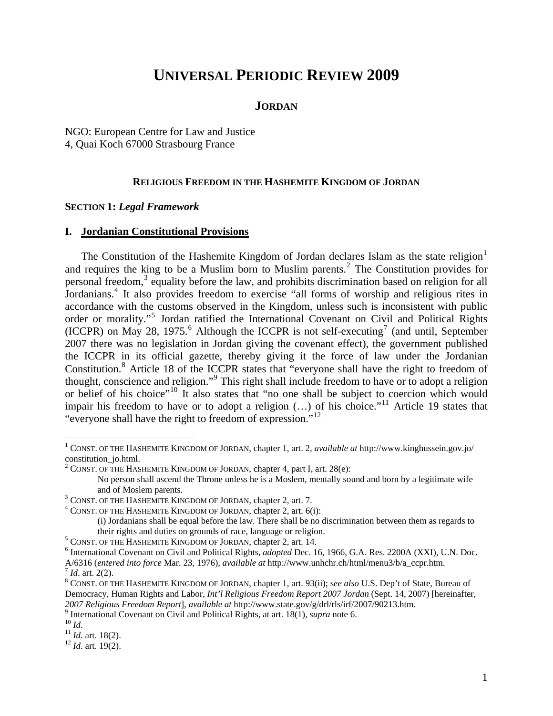# **UNIVERSAL PERIODIC REVIEW 2009**

#### **JORDAN**

NGO: European Centre for Law and Justice 4, Quai Koch 67000 Strasbourg France

#### **RELIGIOUS FREEDOM IN THE HASHEMITE KINGDOM OF JORDAN**

#### **SECTION 1:** *Legal Framework*

#### **I. Jordanian Constitutional Provisions**

The Constitution of the Hashemite Kingdom of Jordan declares Islam as the state religion<sup>[1](#page-0-0)</sup> and requires the king to be a Muslim born to Muslim parents.<sup>[2](#page-0-1)</sup> The Constitution provides for personal freedom,<sup>[3](#page-0-2)</sup> equality before the law, and prohibits discrimination based on religion for all Iordanians.<sup>[4](#page-0-3)</sup> It also provides freedom to exercise "all forms of worship and religious rites in accordance with the customs observed in the Kingdom, unless such is inconsistent with public order or morality."<sup>[5](#page-0-4)</sup> Jordan ratified the International Covenant on Civil and Political Rights (ICCPR) on May 28, 1975.<sup>[6](#page-0-5)</sup> Although the ICCPR is not self-executing<sup>[7](#page-0-6)</sup> (and until, September 2007 there was no legislation in Jordan giving the covenant effect), the government published the ICCPR in its official gazette, thereby giving it the force of law under the Jordanian Constitution.<sup>[8](#page-0-7)</sup> Article 18 of the ICCPR states that "everyone shall have the right to freedom of thought, conscience and religion."<sup>[9](#page-0-8)</sup> This right shall include freedom to have or to adopt a religion or belief of his choice"[10](#page-0-9) It also states that "no one shall be subject to coercion which would impair his freedom to have or to adopt a religion  $(...)$  of his choice."<sup>[11](#page-0-10)</sup> Article 19 states that "everyone shall have the right to freedom of expression."[12](#page-0-11)

 $\overline{a}$ 

<span id="page-0-0"></span><sup>1</sup> CONST. OF THE HASHEMITE KINGDOM OF JORDAN, chapter 1, art. 2, *available at* http://www.kinghussein.gov.jo/ constitution\_jo.html.

<span id="page-0-1"></span><sup>&</sup>lt;sup>2</sup> CONST. OF THE HASHEMITE KINGDOM OF JORDAN, chapter 4, part I, art. 28(e):

No person shall ascend the Throne unless he is a Moslem, mentally sound and born by a legitimate wife and of Moslem parents.

<span id="page-0-2"></span><sup>&</sup>lt;sup>3</sup> CONST. OF THE HASHEMITE KINGDOM OF JORDAN, chapter 2, art. 7.<br><sup>4</sup> CONST. OF THE HASHEMITE KINGDOM OF JORDAN, chapter 2, art. 60

<span id="page-0-3"></span><sup>&</sup>lt;sup>4</sup> CONST. OF THE HASHEMITE KINGDOM OF JORDAN, chapter 2, art.  $6(i)$ :

 <sup>(</sup>i) Jordanians shall be equal before the law. There shall be no discrimination between them as regards to their rights and duties on grounds of race, language or religion.

<span id="page-0-4"></span><sup>&</sup>lt;sup>5</sup> CONST. OF THE HASHEMITE KINGDOM OF JORDAN, chapter 2, art. 14.

<span id="page-0-5"></span><sup>&</sup>lt;sup>6</sup> International Covenant on Civil and Political Rights, *adopted* Dec. 16, 1966, G.A. Res. 2200A (XXI), U.N. Doc. A/6316 (*entered into force* Mar. 23, 1976), *available at* http://www.unhchr.ch/html/menu3/b/a\_ccpr.htm. 7 *Id*. art. 2(2). 8

<span id="page-0-7"></span><span id="page-0-6"></span>CONST. OF THE HASHEMITE KINGDOM OF JORDAN, chapter 1, art. 93(ii); s*ee also* U.S. Dep't of State, Bureau of Democracy, Human Rights and Labor, *Int'l Religious Freedom Report 2007 Jordan* (Sept. 14, 2007) [hereinafter, *2007 Religious Freedom Report*], *available at* http://www.state.gov/g/drl/rls/irf/2007/90213.htm. 9

<span id="page-0-8"></span>If the international Covenant on Civil and Political Rights, at art. 18(1), *supra* note 6.<br><sup>10</sup> *Id.* 11 *Id.* art. 18(2). <sup>12</sup> *Id.* art. 19(2).

<span id="page-0-10"></span><span id="page-0-9"></span>

<span id="page-0-11"></span>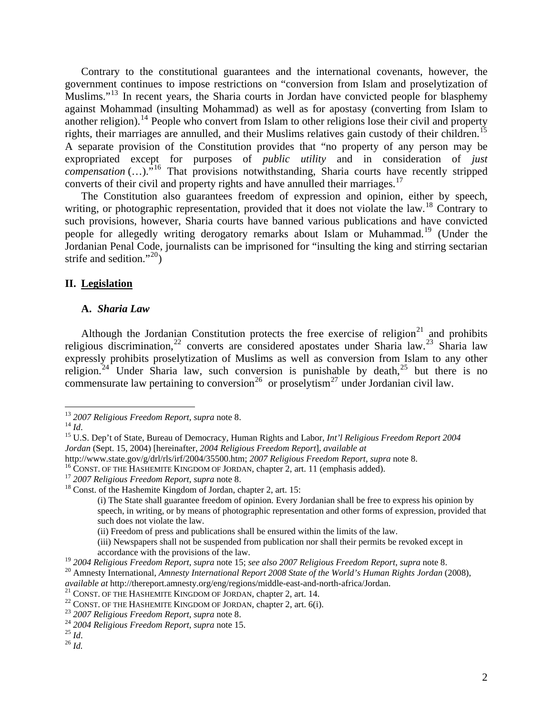Contrary to the constitutional guarantees and the international covenants, however, the government continues to impose restrictions on "conversion from Islam and proselytization of Muslims."<sup>[13](#page-1-0)</sup> In recent years, the Sharia courts in Jordan have convicted people for blasphemy against Mohammad (insulting Mohammad) as well as for apostasy (converting from Islam to another religion).<sup>[14](#page-1-1)</sup> People who convert from Islam to other religions lose their civil and property rights, their marriages are annulled, and their Muslims relatives gain custody of their children.<sup>[15](#page-1-2)</sup> A separate provision of the Constitution provides that "no property of any person may be expropriated except for purposes of *public utility* and in consideration of *just compensation* (...).<sup>"[16](#page-1-3)</sup> That provisions notwithstanding, Sharia courts have recently stripped converts of their civil and property rights and have annulled their marriages.<sup>[17](#page-1-4)</sup>

The Constitution also guarantees freedom of expression and opinion, either by speech, writing, or photographic representation, provided that it does not violate the law.<sup>[18](#page-1-5)</sup> Contrary to such provisions, however, Sharia courts have banned various publications and have convicted people for allegedly writing derogatory remarks about Islam or Muhammad.<sup>[19](#page-1-6)</sup> (Under the Jordanian Penal Code, journalists can be imprisoned for "insulting the king and stirring sectarian strife and sedition."<sup>[20](#page-1-7)</sup>)

## **II. Legislation**

#### **A.** *Sharia Law*

Although the Jordanian Constitution protects the free exercise of religion<sup>[21](#page-1-8)</sup> and prohibits religious discrimination,<sup>[22](#page-1-9)</sup> converts are considered apostates under Sharia law.<sup>[23](#page-1-10)</sup> Sharia law expressly prohibits proselytization of Muslims as well as conversion from Islam to any other religion.<sup>[24](#page-1-11)</sup> Under Sharia law, such conversion is punishable by death,<sup>25</sup> but there is no commensurate law pertaining to conversion<sup>[26](#page-1-13)</sup> or proselytism<sup>27</sup> under Jordanian civil law.

 $\overline{a}$ 

(ii) Freedom of press and publications shall be ensured within the limits of the law.

<span id="page-1-8"></span>*available at http://thereport.amnesty.org/eng/regions/middle-east-and-north-africa/Jordan.*<br><sup>21</sup> CONST. OF THE HASHEMITE KINGDOM OF JORDAN, chapter 2, art. 14.<br><sup>22</sup> CONST. OF THE HASHEMITE KINGDOM OF JORDAN, chapter 2, a

<span id="page-1-2"></span><span id="page-1-1"></span>

<span id="page-1-0"></span><sup>&</sup>lt;sup>13</sup> *2007 Religious Freedom Report, supra* note 8.<br><sup>14</sup> *Id.* 15 U.S. Dep't of State, Bureau of Democracy, Human Rights and Labor, *Int'l Religious Freedom Report 2004 Jordan* (Sept. 15, 2004) [hereinafter, *2004 Religious Freedom Report*], *available at*

<span id="page-1-3"></span>http://www.state.gov/g/drl/rls/irf/2004/35500.htm; 2007 Religious Freedom Report, supra note 8.<br><sup>16</sup> CONST. OF THE HASHEMITE KINGDOM OF JORDAN, chapter 2, art. 11 (emphasis added).<br><sup>17</sup> 2007 Religious Freedom Report, supra

<span id="page-1-5"></span><span id="page-1-4"></span>

 <sup>(</sup>i) The State shall guarantee freedom of opinion. Every Jordanian shall be free to express his opinion by speech, in writing, or by means of photographic representation and other forms of expression, provided that such does not violate the law.

 <sup>(</sup>iii) Newspapers shall not be suspended from publication nor shall their permits be revoked except in accordance with the provisions of the law.<br><sup>19</sup> 2004 Religious Freedom Report, supra note 15; see also 2007 Religious Freedom Report, supra note 8.

<span id="page-1-7"></span><span id="page-1-6"></span><sup>&</sup>lt;sup>20</sup> Amnesty International, Amnesty International Report 2008 State of the World's Human Rights Jordan (2008),

<span id="page-1-9"></span>

<span id="page-1-11"></span><span id="page-1-10"></span>

<span id="page-1-13"></span><span id="page-1-12"></span>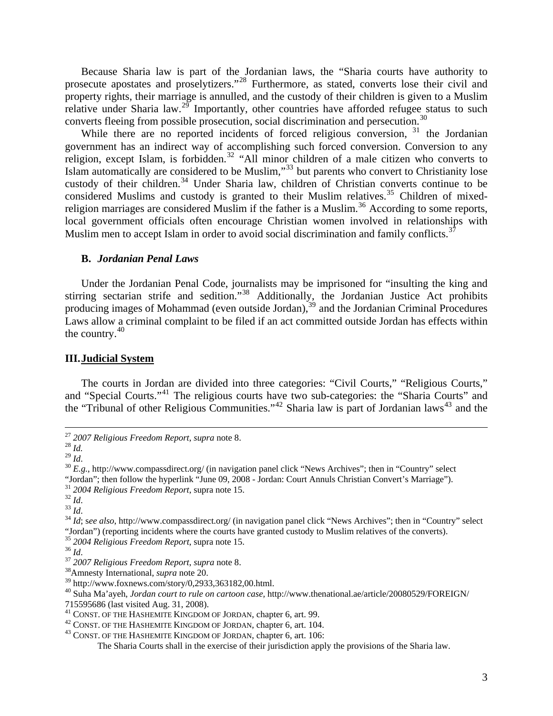Because Sharia law is part of the Jordanian laws, the "Sharia courts have authority to prosecute apostates and proselytizers."[28](#page-2-0) Furthermore, as stated, converts lose their civil and property rights, their marriage is annulled, and the custody of their children is given to a Muslim relative under Sharia law.<sup>[29](#page-2-1)</sup> Importantly, other countries have afforded refugee status to such converts fleeing from possible prosecution, social discrimination and persecution.<sup>[30](#page-2-2)</sup>

While there are no reported incidents of forced religious conversion, <sup>[31](#page-2-3)</sup> the Jordanian government has an indirect way of accomplishing such forced conversion. Conversion to any religion, except Islam, is forbidden.<sup>32</sup> "All minor children of a male citizen who converts to Islam automatically are considered to be Muslim,"[33](#page-2-5) but parents who convert to Christianity lose custody of their children.<sup>[34](#page-2-6)</sup> Under Sharia law, children of Christian converts continue to be considered Muslims and custody is granted to their Muslim relatives.<sup>[35](#page-2-7)</sup> Children of mixed-religion marriages are considered Muslim if the father is a Muslim.<sup>[36](#page-2-8)</sup> According to some reports, local government officials often encourage Christian women involved in relationships with Muslim men to accept Islam in order to avoid social discrimination and family conflicts.<sup>[37](#page-2-9)</sup>

#### **B.** *Jordanian Penal Laws*

Under the Jordanian Penal Code, journalists may be imprisoned for "insulting the king and stirring sectarian strife and sedition."<sup>[38](#page-2-10)</sup> Additionally, the Jordanian Justice Act prohibits producing images of Mohammad (even outside Jordan),<sup>[39](#page-2-11)</sup> and the Jordanian Criminal Procedures Laws allow a criminal complaint to be filed if an act committed outside Jordan has effects within the country. $40$ 

#### **III.Judicial System**

The courts in Jordan are divided into three categories: "Civil Courts," "Religious Courts," and "Special Courts."[41](#page-2-13) The religious courts have two sub-categories: the "Sharia Courts" and the "Tribunal of other Religious Communities."<sup>[42](#page-2-14)</sup> Sharia law is part of Jordanian laws<sup>[43](#page-2-15)</sup> and the

<span id="page-2-0"></span><sup>27</sup> *2007 Religious Freedom Report*, *supra* note 8. 28 *Id.*

<span id="page-2-2"></span><span id="page-2-1"></span> $20 E.g., \text{http://www.compassdirect.org/ (in navigation panel click "News Archives"; then in "Country" select.$ "Jordan"; then follow the hyperlink "June 09, 2008 - Jordan: Court Annuls Christian Convert's Marriage").<br><sup>31</sup> 2004 Religious Freedom Report, supra note 15.

<span id="page-2-6"></span>

<span id="page-2-5"></span><span id="page-2-4"></span><span id="page-2-3"></span><sup>&</sup>lt;sup>32</sup> *Id.*<br><sup>33</sup> *Id.*<br><sup>34</sup> *Id*; see also, http://www.compassdirect.org/ (in navigation panel click "News Archives"; then in "Country" select "Jordan") (reporting incidents where the courts have granted custody to Muslim relatives of the converts).  $35\,2004\,Religious\,Freedom\,Report, \,supra$  note 15.

<span id="page-2-9"></span><span id="page-2-8"></span><span id="page-2-7"></span><sup>35</sup> *2004 Religious Freedom Report*, supra note 15. 36 *Id*. 37 *2007 Religious Freedom Report*, *supra* note 8. 38Amnesty International, *supra* note 20.

<span id="page-2-10"></span><sup>39</sup> http://www.foxnews.com/story/0,2933,363182,00.html.

<span id="page-2-12"></span><span id="page-2-11"></span><sup>40</sup> Suha Ma'ayeh, *Jordan court to rule on cartoon case,* http://www.thenational.ae/article/20080529/FOREIGN/

<span id="page-2-13"></span><sup>715595686 (</sup>last visited Aug. 31, 2008).<br><sup>41</sup> CONST. OF THE HASHEMITE KINGDOM OF JORDAN, chapter 6, art. 99.

<span id="page-2-15"></span><span id="page-2-14"></span> $42$  CONST. OF THE HASHEMITE KINGDOM OF JORDAN, chapter 6, art. 104.  $43$  CONST. OF THE HASHEMITE KINGDOM OF JORDAN, chapter 6, art. 106:

The Sharia Courts shall in the exercise of their jurisdiction apply the provisions of the Sharia law.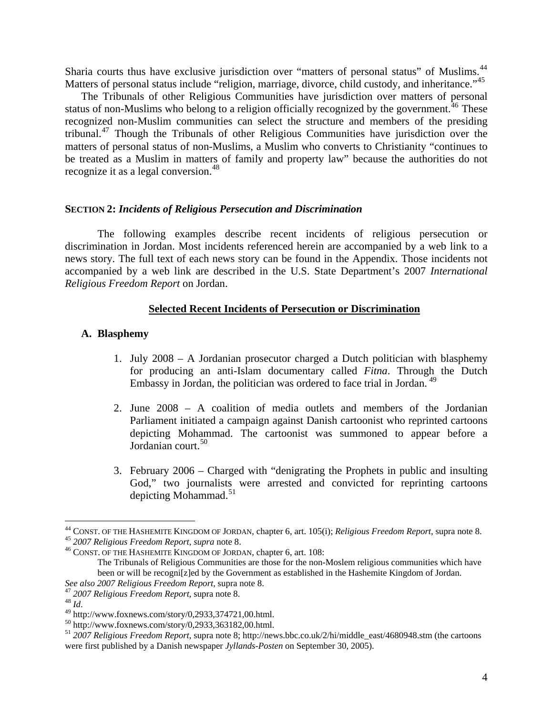Sharia courts thus have exclusive jurisdiction over "matters of personal status" of Muslims.<sup>[44](#page-3-0)</sup> Matters of personal status include "religion, marriage, divorce, child custody, and inheritance."<sup>[45](#page-3-1)</sup>

The Tribunals of other Religious Communities have jurisdiction over matters of personal status of non-Muslims who belong to a religion officially recognized by the government.<sup>[46](#page-3-2)</sup> These recognized non-Muslim communities can select the structure and members of the presiding tribunal.[47](#page-3-3) Though the Tribunals of other Religious Communities have jurisdiction over the matters of personal status of non-Muslims, a Muslim who converts to Christianity "continues to be treated as a Muslim in matters of family and property law" because the authorities do not recognize it as a legal conversion.<sup>[48](#page-3-4)</sup>

#### **SECTION 2:** *Incidents of Religious Persecution and Discrimination*

 The following examples describe recent incidents of religious persecution or discrimination in Jordan. Most incidents referenced herein are accompanied by a web link to a news story. The full text of each news story can be found in the Appendix. Those incidents not accompanied by a web link are described in the U.S. State Department's 2007 *International Religious Freedom Report* on Jordan.

#### **Selected Recent Incidents of Persecution or Discrimination**

#### **A. Blasphemy**

- 1. July 2008 A Jordanian prosecutor charged a Dutch politician with blasphemy for producing an anti-Islam documentary called *Fitna*. Through the Dutch Embassy in Jordan, the politician was ordered to face trial in Jordan. [49](#page-3-5)
- 2. June 2008 A coalition of media outlets and members of the Jordanian Parliament initiated a campaign against Danish cartoonist who reprinted cartoons depicting Mohammad. The cartoonist was summoned to appear before a Jordanian court.<sup>[50](#page-3-6)</sup>
- 3. February 2006 Charged with "denigrating the Prophets in public and insulting God," two journalists were arrested and convicted for reprinting cartoons depicting Mohammad.<sup>[51](#page-3-7)</sup>

 $\overline{a}$ 

<span id="page-3-0"></span><sup>&</sup>lt;sup>44</sup> CONST. OF THE HASHEMITE KINGDOM OF JORDAN, chapter 6, art. 105(i); *Religious Freedom Report,* supra note 8.<br><sup>45</sup> 2007 *Religious Freedom Report, supra* note 8.<br><sup>46</sup> CONST. OF THE HASHEMITE KINGDOM OF JORDAN, chapter

<span id="page-3-1"></span>

<span id="page-3-2"></span>The Tribunals of Religious Communities are those for the non-Moslem religious communities which have been or will be recogni[z]ed by the Government as established in the Hashemite Kingdom of Jordan.<br>See also 2007 Religious Freedom Report, supra note 8.

<span id="page-3-4"></span><span id="page-3-3"></span><sup>&</sup>lt;sup>47</sup> 2007 *Religious Freedom Report*, supra note 8.<br><sup>48</sup> *Id.* 49 http://www.foxnews.com/story/0,2933,374721,00.html.

<span id="page-3-6"></span><span id="page-3-5"></span> $^{50}$  http://www.foxnews.com/story/0,2933,363182,00.html.

<span id="page-3-7"></span><sup>51</sup> *2007 Religious Freedom Report*, supra note 8; http://news.bbc.co.uk/2/hi/middle\_east/4680948.stm (the cartoons were first published by a Danish newspaper *Jyllands-Posten* on September 30, 2005).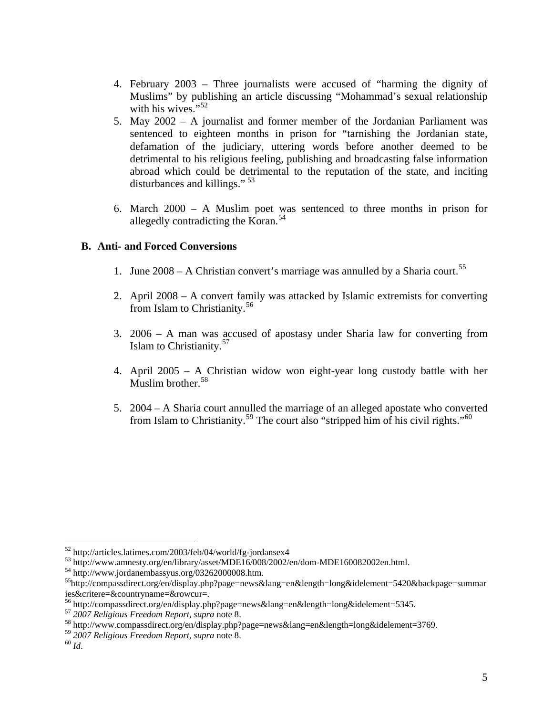- 4. February 2003 Three journalists were accused of "harming the dignity of Muslims" by publishing an article discussing "Mohammad's sexual relationship with his wives." $52$
- 5. May 2002 A journalist and former member of the Jordanian Parliament was sentenced to eighteen months in prison for "tarnishing the Jordanian state, defamation of the judiciary, uttering words before another deemed to be detrimental to his religious feeling, publishing and broadcasting false information abroad which could be detrimental to the reputation of the state, and inciting disturbances and killings."<sup>[53](#page-4-1)</sup>
- 6. March 2000 A Muslim poet was sentenced to three months in prison for allegedly contradicting the Koran.<sup>[54](#page-4-2)</sup>

# **B. Anti- and Forced Conversions**

- 1. June  $2008 A$  Christian convert's marriage was annulled by a Sharia court.<sup>[55](#page-4-3)</sup>
- 2. April 2008 A convert family was attacked by Islamic extremists for converting from Islam to Christianity.<sup>[56](#page-4-4)</sup>
- 3. 2006 A man was accused of apostasy under Sharia law for converting from Islam to Christianity.<sup>[57](#page-4-5)</sup>
- 4. April 2005 A Christian widow won eight-year long custody battle with her Muslim brother.<sup>[58](#page-4-6)</sup>
- 5. 2004 A Sharia court annulled the marriage of an alleged apostate who converted from Islam to Christianity.<sup>[59](#page-4-7)</sup> The court also "stripped him of his civil rights."<sup>[60](#page-4-8)</sup>

1

<span id="page-4-0"></span><sup>52</sup> http://articles.latimes.com/2003/feb/04/world/fg-jordansex4

<span id="page-4-1"></span><sup>53</sup> http://www.amnesty.org/en/library/asset/MDE16/008/2002/en/dom-MDE160082002en.html.

<span id="page-4-2"></span><sup>54</sup> http://www.jordanembassyus.org/03262000008.htm.

<span id="page-4-3"></span><sup>55</sup>http://compassdirect.org/en/display.php?page=news&lang=en&length=long&idelement=5420&backpage=summar ies&critere=&countryname=&rowcur=.

<span id="page-4-4"></span><sup>&</sup>lt;sup>56</sup> http://compassdirect.org/en/display.php?page=news&lang=en&length=long&idelement=5345.<br><sup>57</sup> 2007 Religious Freedom Report, supra note 8.

<span id="page-4-5"></span><sup>&</sup>lt;sup>58</sup> http://www.compassdirect.org/en/display.php?page=news&lang=en&length=long&idelement=3769.

<span id="page-4-8"></span><span id="page-4-7"></span><span id="page-4-6"></span><sup>59</sup> *<sup>2007</sup> Religious Freedom Report*, *supra* note 8. 60 *Id*.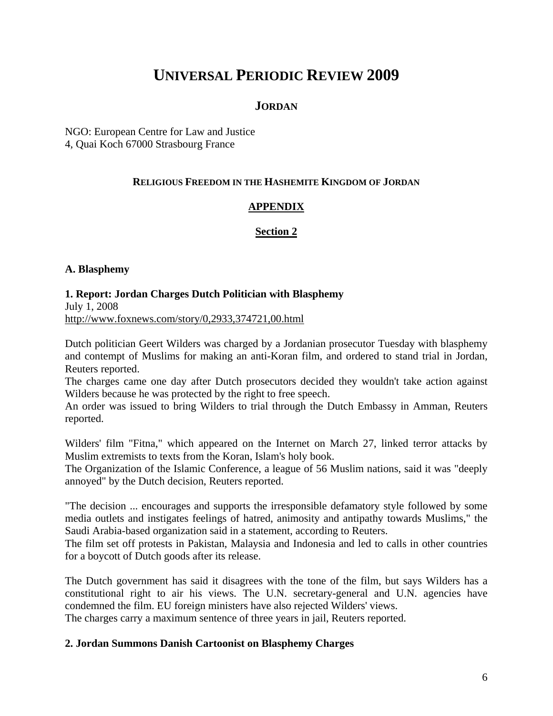# **UNIVERSAL PERIODIC REVIEW 2009**

# **JORDAN**

NGO: European Centre for Law and Justice 4, Quai Koch 67000 Strasbourg France

# **RELIGIOUS FREEDOM IN THE HASHEMITE KINGDOM OF JORDAN**

# **APPENDIX**

## **Section 2**

## **A. Blasphemy**

## **1. Report: Jordan Charges Dutch Politician with Blasphemy**

July 1, 2008 http://www.foxnews.com/story/0,2933,374721,00.html

Dutch politician Geert Wilders was charged by a Jordanian prosecutor Tuesday with blasphemy and contempt of Muslims for making an anti-Koran film, and ordered to stand trial in Jordan, Reuters reported.

The charges came one day after Dutch prosecutors decided they wouldn't take action against Wilders because he was protected by the right to free speech.

An order was issued to bring Wilders to trial through the Dutch Embassy in Amman, Reuters reported.

Wilders' film "Fitna," which appeared on the Internet on March 27, linked terror attacks by Muslim extremists to texts from the Koran, Islam's holy book.

The Organization of the Islamic Conference, a league of 56 Muslim nations, said it was "deeply annoyed" by the Dutch decision, Reuters reported.

"The decision ... encourages and supports the irresponsible defamatory style followed by some media outlets and instigates feelings of hatred, animosity and antipathy towards Muslims," the Saudi Arabia-based organization said in a statement, according to Reuters.

The film set off protests in Pakistan, Malaysia and Indonesia and led to calls in other countries for a boycott of Dutch goods after its release.

The Dutch government has said it disagrees with the tone of the film, but says Wilders has a constitutional right to air his views. The U.N. secretary-general and U.N. agencies have condemned the film. EU foreign ministers have also rejected Wilders' views.

The charges carry a maximum sentence of three years in jail, Reuters reported.

## **2. Jordan Summons Danish Cartoonist on Blasphemy Charges**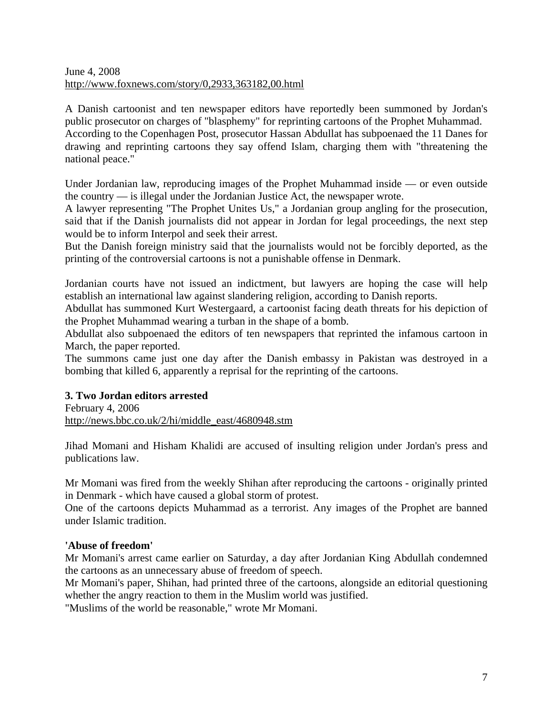## June 4, 2008 http://www.foxnews.com/story/0,2933,363182,00.html

A Danish cartoonist and ten newspaper editors have reportedly been summoned by Jordan's public prosecutor on charges of "blasphemy" for reprinting cartoons of the Prophet Muhammad. According to the Copenhagen Post, prosecutor Hassan Abdullat has subpoenaed the 11 Danes for drawing and reprinting cartoons they say offend Islam, charging them with "threatening the national peace."

Under Jordanian law, reproducing images of the Prophet Muhammad inside — or even outside the country — is illegal under the Jordanian Justice Act, the newspaper wrote.

A lawyer representing "The Prophet Unites Us," a Jordanian group angling for the prosecution, said that if the Danish journalists did not appear in Jordan for legal proceedings, the next step would be to inform Interpol and seek their arrest.

But the Danish foreign ministry said that the journalists would not be forcibly deported, as the printing of the controversial cartoons is not a punishable offense in Denmark.

Jordanian courts have not issued an indictment, but lawyers are hoping the case will help establish an international law against slandering religion, according to Danish reports.

Abdullat has summoned Kurt Westergaard, a cartoonist facing death threats for his depiction of the Prophet Muhammad wearing a turban in the shape of a bomb.

Abdullat also subpoenaed the editors of ten newspapers that reprinted the infamous cartoon in March, the paper reported.

The summons came just one day after the Danish embassy in Pakistan was destroyed in a bombing that killed 6, apparently a reprisal for the reprinting of the cartoons.

# **3. Two Jordan editors arrested**

February 4, 2006 http://news.bbc.co.uk/2/hi/middle\_east/4680948.stm

Jihad Momani and Hisham Khalidi are accused of insulting religion under Jordan's press and publications law.

Mr Momani was fired from the weekly Shihan after reproducing the cartoons - originally printed in Denmark - which have caused a global storm of protest.

One of the cartoons depicts Muhammad as a terrorist. Any images of the Prophet are banned under Islamic tradition.

# **'Abuse of freedom'**

Mr Momani's arrest came earlier on Saturday, a day after Jordanian King Abdullah condemned the cartoons as an unnecessary abuse of freedom of speech.

Mr Momani's paper, Shihan, had printed three of the cartoons, alongside an editorial questioning whether the angry reaction to them in the Muslim world was justified.

"Muslims of the world be reasonable," wrote Mr Momani.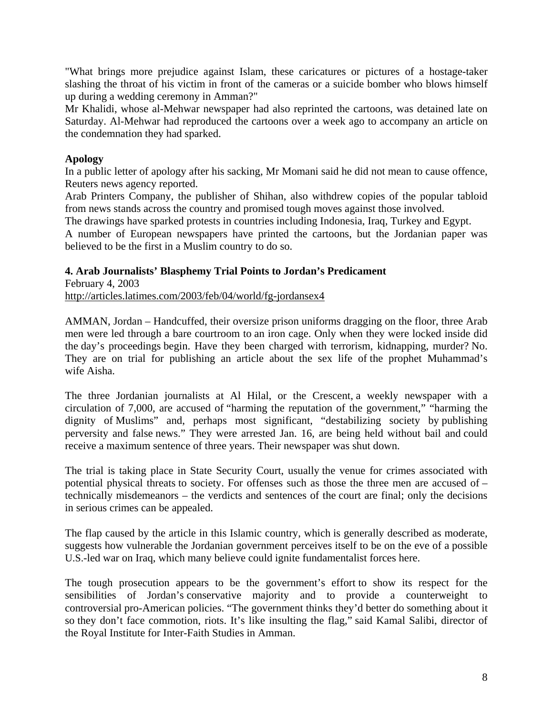"What brings more prejudice against Islam, these caricatures or pictures of a hostage-taker slashing the throat of his victim in front of the cameras or a suicide bomber who blows himself up during a wedding ceremony in Amman?"

Mr Khalidi, whose al-Mehwar newspaper had also reprinted the cartoons, was detained late on Saturday. Al-Mehwar had reproduced the cartoons over a week ago to accompany an article on the condemnation they had sparked.

## **Apology**

In a public letter of apology after his sacking, Mr Momani said he did not mean to cause offence, Reuters news agency reported.

Arab Printers Company, the publisher of Shihan, also withdrew copies of the popular tabloid from news stands across the country and promised tough moves against those involved.

The drawings have sparked protests in countries including Indonesia, Iraq, Turkey and Egypt. A number of European newspapers have printed the cartoons, but the Jordanian paper was believed to be the first in a Muslim country to do so.

# **4. Arab Journalists' Blasphemy Trial Points to Jordan's Predicament**

February 4, 2003 http://articles.latimes.com/2003/feb/04/world/fg-jordansex4

AMMAN, Jordan – Handcuffed, their oversize prison uniforms dragging on the floor, three Arab men were led through a bare courtroom to an iron cage. Only when they were locked inside did the day's proceedings begin. Have they been charged with terrorism, kidnapping, murder? No. They are on trial for publishing an article about the sex life of the prophet Muhammad's wife Aisha.

The three Jordanian journalists at Al Hilal, or the Crescent, a weekly newspaper with a circulation of 7,000, are accused of "harming the reputation of the government," "harming the dignity of Muslims" and, perhaps most significant, "destabilizing society by publishing perversity and false news." They were arrested Jan. 16, are being held without bail and could receive a maximum sentence of three years. Their newspaper was shut down.

The trial is taking place in State Security Court, usually the venue for crimes associated with potential physical threats to society. For offenses such as those the three men are accused of – technically misdemeanors – the verdicts and sentences of the court are final; only the decisions in serious crimes can be appealed.

The flap caused by the article in this Islamic country, which is generally described as moderate, suggests how vulnerable the Jordanian government perceives itself to be on the eve of a possible U.S.-led war on Iraq, which many believe could ignite fundamentalist forces here.

The tough prosecution appears to be the government's effort to show its respect for the sensibilities of Jordan's conservative majority and to provide a counterweight to controversial pro-American policies. "The government thinks they'd better do something about it so they don't face commotion, riots. It's like insulting the flag," said Kamal Salibi, director of the Royal Institute for Inter-Faith Studies in Amman.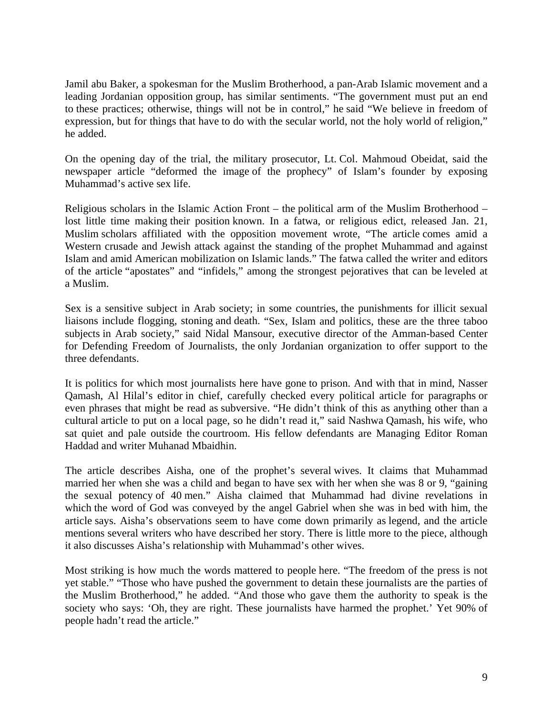Jamil abu Baker, a spokesman for the Muslim Brotherhood, a pan-Arab Islamic movement and a leading Jordanian opposition group, has similar sentiments. "The government must put an end to these practices; otherwise, things will not be in control," he said "We believe in freedom of expression, but for things that have to do with the secular world, not the holy world of religion," he added.

On the opening day of the trial, the military prosecutor, Lt. Col. Mahmoud Obeidat, said the newspaper article "deformed the image of the prophecy" of Islam's founder by exposing Muhammad's active sex life.

Religious scholars in the Islamic Action Front – the political arm of the Muslim Brotherhood – lost little time making their position known. In a fatwa, or religious edict, released Jan. 21, Muslim scholars affiliated with the opposition movement wrote, "The article comes amid a Western crusade and Jewish attack against the standing of the prophet Muhammad and against Islam and amid American mobilization on Islamic lands." The fatwa called the writer and editors of the article "apostates" and "infidels," among the strongest pejoratives that can be leveled at a Muslim.

Sex is a sensitive subject in Arab society; in some countries, the punishments for illicit sexual liaisons include flogging, stoning and death. "Sex, Islam and politics, these are the three taboo subjects in Arab society," said Nidal Mansour, executive director of the Amman-based Center for Defending Freedom of Journalists, the only Jordanian organization to offer support to the three defendants.

It is politics for which most journalists here have gone to prison. And with that in mind, Nasser Qamash, Al Hilal's editor in chief, carefully checked every political article for paragraphs or even phrases that might be read as subversive. "He didn't think of this as anything other than a cultural article to put on a local page, so he didn't read it," said Nashwa Qamash, his wife, who sat quiet and pale outside the courtroom. His fellow defendants are Managing Editor Roman Haddad and writer Muhanad Mbaidhin.

The article describes Aisha, one of the prophet's several wives. It claims that Muhammad married her when she was a child and began to have sex with her when she was 8 or 9, "gaining the sexual potency of 40 men." Aisha claimed that Muhammad had divine revelations in which the word of God was conveyed by the angel Gabriel when she was in bed with him, the article says. Aisha's observations seem to have come down primarily as legend, and the article mentions several writers who have described her story. There is little more to the piece, although it also discusses Aisha's relationship with Muhammad's other wives.

Most striking is how much the words mattered to people here. "The freedom of the press is not yet stable." "Those who have pushed the government to detain these journalists are the parties of the Muslim Brotherhood," he added. "And those who gave them the authority to speak is the society who says: 'Oh, they are right. These journalists have harmed the prophet.' Yet 90% of people hadn't read the article."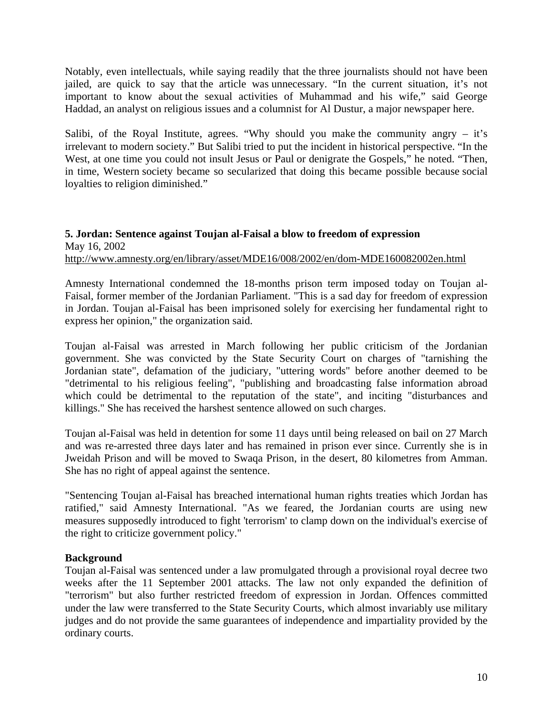Notably, even intellectuals, while saying readily that the three journalists should not have been jailed, are quick to say that the article was unnecessary. "In the current situation, it's not important to know about the sexual activities of Muhammad and his wife," said George Haddad, an analyst on religious issues and a columnist for Al Dustur, a major newspaper here.

Salibi, of the Royal Institute, agrees. "Why should you make the community angry  $-$  it's irrelevant to modern society." But Salibi tried to put the incident in historical perspective. "In the West, at one time you could not insult Jesus or Paul or denigrate the Gospels," he noted. "Then, in time, Western society became so secularized that doing this became possible because social loyalties to religion diminished."

## **5. Jordan: Sentence against Toujan al-Faisal a blow to freedom of expression**  May 16, 2002 <http://www.amnesty.org/en/library/asset/MDE16/008/2002/en/dom-MDE160082002en.html>

Amnesty International condemned the 18-months prison term imposed today on Toujan al-Faisal, former member of the Jordanian Parliament. "This is a sad day for freedom of expression in Jordan. Toujan al-Faisal has been imprisoned solely for exercising her fundamental right to express her opinion," the organization said.

Toujan al-Faisal was arrested in March following her public criticism of the Jordanian government. She was convicted by the State Security Court on charges of "tarnishing the Jordanian state", defamation of the judiciary, "uttering words" before another deemed to be "detrimental to his religious feeling", "publishing and broadcasting false information abroad which could be detrimental to the reputation of the state", and inciting "disturbances and killings." She has received the harshest sentence allowed on such charges.

Toujan al-Faisal was held in detention for some 11 days until being released on bail on 27 March and was re-arrested three days later and has remained in prison ever since. Currently she is in Jweidah Prison and will be moved to Swaqa Prison, in the desert, 80 kilometres from Amman. She has no right of appeal against the sentence.

"Sentencing Toujan al-Faisal has breached international human rights treaties which Jordan has ratified," said Amnesty International. "As we feared, the Jordanian courts are using new measures supposedly introduced to fight 'terrorism' to clamp down on the individual's exercise of the right to criticize government policy."

# **Background**

Toujan al-Faisal was sentenced under a law promulgated through a provisional royal decree two weeks after the 11 September 2001 attacks. The law not only expanded the definition of "terrorism" but also further restricted freedom of expression in Jordan. Offences committed under the law were transferred to the State Security Courts, which almost invariably use military judges and do not provide the same guarantees of independence and impartiality provided by the ordinary courts.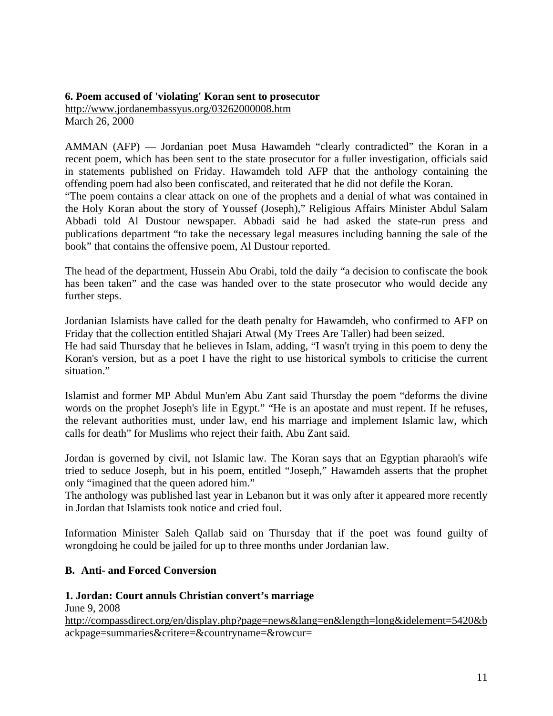# **6. Poem accused of 'violating' Koran sent to prosecutor**  http://www.jordanembassyus.org/03262000008.htm March 26, 2000

AMMAN (AFP) — Jordanian poet Musa Hawamdeh "clearly contradicted" the Koran in a recent poem, which has been sent to the state prosecutor for a fuller investigation, officials said in statements published on Friday. Hawamdeh told AFP that the anthology containing the offending poem had also been confiscated, and reiterated that he did not defile the Koran.

"The poem contains a clear attack on one of the prophets and a denial of what was contained in the Holy Koran about the story of Youssef (Joseph)," Religious Affairs Minister Abdul Salam Abbadi told Al Dustour newspaper. Abbadi said he had asked the state-run press and publications department "to take the necessary legal measures including banning the sale of the book" that contains the offensive poem, Al Dustour reported.

The head of the department, Hussein Abu Orabi, told the daily "a decision to confiscate the book has been taken" and the case was handed over to the state prosecutor who would decide any further steps.

Jordanian Islamists have called for the death penalty for Hawamdeh, who confirmed to AFP on Friday that the collection entitled Shajari Atwal (My Trees Are Taller) had been seized. He had said Thursday that he believes in Islam, adding, "I wasn't trying in this poem to deny the Koran's version, but as a poet I have the right to use historical symbols to criticise the current situation."

Islamist and former MP Abdul Mun'em Abu Zant said Thursday the poem "deforms the divine words on the prophet Joseph's life in Egypt." "He is an apostate and must repent. If he refuses, the relevant authorities must, under law, end his marriage and implement Islamic law, which calls for death" for Muslims who reject their faith, Abu Zant said.

Jordan is governed by civil, not Islamic law. The Koran says that an Egyptian pharaoh's wife tried to seduce Joseph, but in his poem, entitled "Joseph," Hawamdeh asserts that the prophet only "imagined that the queen adored him."

The anthology was published last year in Lebanon but it was only after it appeared more recently in Jordan that Islamists took notice and cried foul.

Information Minister Saleh Qallab said on Thursday that if the poet was found guilty of wrongdoing he could be jailed for up to three months under Jordanian law.

# **B. Anti- and Forced Conversion**

# **1. Jordan: Court annuls Christian convert's marriage**

June 9, 2008 [http://compassdirect.org/en/display.php?page=news&lang=en&length=long&idelement=5420&b](http://compassdirect.org/en/display.php?page=news&lang=en&length=long&idelement=5420&backpage=summaries&critere=&countryname=&rowcur) [ackpage=summaries&critere=&countryname=&rowcur=](http://compassdirect.org/en/display.php?page=news&lang=en&length=long&idelement=5420&backpage=summaries&critere=&countryname=&rowcur)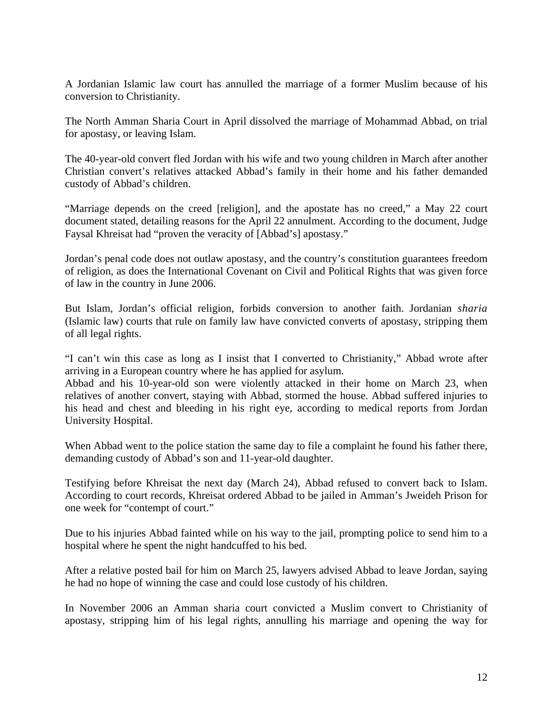A Jordanian Islamic law court has annulled the marriage of a former Muslim because of his conversion to Christianity.

The North Amman Sharia Court in April dissolved the marriage of Mohammad Abbad, on trial for apostasy, or leaving Islam.

The 40-year-old convert fled Jordan with his wife and two young children in March after another Christian convert's relatives attacked Abbad's family in their home and his father demanded custody of Abbad's children.

"Marriage depends on the creed [religion], and the apostate has no creed," a May 22 court document stated, detailing reasons for the April 22 annulment. According to the document, Judge Faysal Khreisat had "proven the veracity of [Abbad's] apostasy."

Jordan's penal code does not outlaw apostasy, and the country's constitution guarantees freedom of religion, as does the International Covenant on Civil and Political Rights that was given force of law in the country in June 2006.

But Islam, Jordan's official religion, forbids conversion to another faith. Jordanian *sharia* (Islamic law) courts that rule on family law have convicted converts of apostasy, stripping them of all legal rights.

"I can't win this case as long as I insist that I converted to Christianity," Abbad wrote after arriving in a European country where he has applied for asylum.

Abbad and his 10-year-old son were violently attacked in their home on March 23, when relatives of another convert, staying with Abbad, stormed the house. Abbad suffered injuries to his head and chest and bleeding in his right eye, according to medical reports from Jordan University Hospital.

When Abbad went to the police station the same day to file a complaint he found his father there, demanding custody of Abbad's son and 11-year-old daughter.

Testifying before Khreisat the next day (March 24), Abbad refused to convert back to Islam. According to court records, Khreisat ordered Abbad to be jailed in Amman's Jweideh Prison for one week for "contempt of court."

Due to his injuries Abbad fainted while on his way to the jail, prompting police to send him to a hospital where he spent the night handcuffed to his bed.

After a relative posted bail for him on March 25, lawyers advised Abbad to leave Jordan, saying he had no hope of winning the case and could lose custody of his children.

In November 2006 an Amman sharia court convicted a Muslim convert to Christianity of apostasy, stripping him of his legal rights, annulling his marriage and opening the way for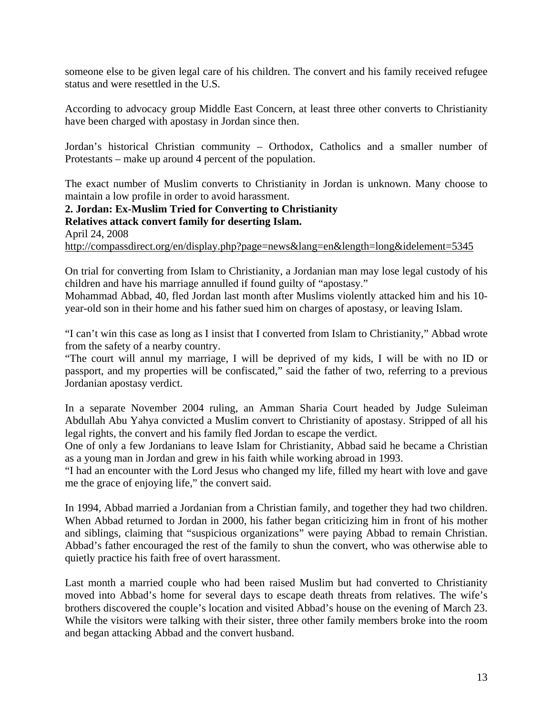someone else to be given legal care of his children. The convert and his family received refugee status and were resettled in the U.S.

According to advocacy group Middle East Concern, at least three other converts to Christianity have been charged with apostasy in Jordan since then.

Jordan's historical Christian community – Orthodox, Catholics and a smaller number of Protestants – make up around 4 percent of the population.

The exact number of Muslim converts to Christianity in Jordan is unknown. Many choose to maintain a low profile in order to avoid harassment.

**2. Jordan: Ex-Muslim Tried for Converting to Christianity Relatives attack convert family for deserting Islam.**  April 24, 2008 <http://compassdirect.org/en/display.php?page=news&lang=en&length=long&idelement=5345>

On trial for converting from Islam to Christianity, a Jordanian man may lose legal custody of his children and have his marriage annulled if found guilty of "apostasy."

Mohammad Abbad, 40, fled Jordan last month after Muslims violently attacked him and his 10 year-old son in their home and his father sued him on charges of apostasy, or leaving Islam.

"I can't win this case as long as I insist that I converted from Islam to Christianity," Abbad wrote from the safety of a nearby country.

"The court will annul my marriage, I will be deprived of my kids, I will be with no ID or passport, and my properties will be confiscated," said the father of two, referring to a previous Jordanian apostasy verdict.

In a separate November 2004 ruling, an Amman Sharia Court headed by Judge Suleiman Abdullah Abu Yahya convicted a Muslim convert to Christianity of apostasy. Stripped of all his legal rights, the convert and his family fled Jordan to escape the verdict.

One of only a few Jordanians to leave Islam for Christianity, Abbad said he became a Christian as a young man in Jordan and grew in his faith while working abroad in 1993.

"I had an encounter with the Lord Jesus who changed my life, filled my heart with love and gave me the grace of enjoying life," the convert said.

In 1994, Abbad married a Jordanian from a Christian family, and together they had two children. When Abbad returned to Jordan in 2000, his father began criticizing him in front of his mother and siblings, claiming that "suspicious organizations" were paying Abbad to remain Christian. Abbad's father encouraged the rest of the family to shun the convert, who was otherwise able to quietly practice his faith free of overt harassment.

Last month a married couple who had been raised Muslim but had converted to Christianity moved into Abbad's home for several days to escape death threats from relatives. The wife's brothers discovered the couple's location and visited Abbad's house on the evening of March 23. While the visitors were talking with their sister, three other family members broke into the room and began attacking Abbad and the convert husband.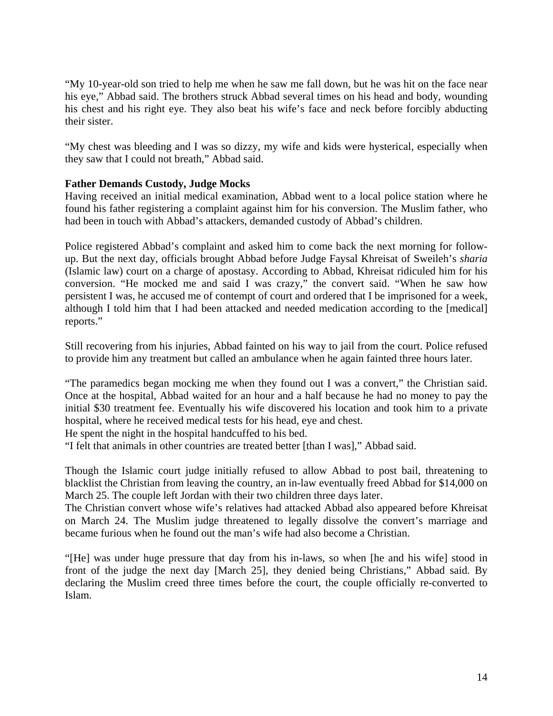"My 10-year-old son tried to help me when he saw me fall down, but he was hit on the face near his eye," Abbad said. The brothers struck Abbad several times on his head and body, wounding his chest and his right eye. They also beat his wife's face and neck before forcibly abducting their sister.

"My chest was bleeding and I was so dizzy, my wife and kids were hysterical, especially when they saw that I could not breath," Abbad said.

# **Father Demands Custody, Judge Mocks**

Having received an initial medical examination, Abbad went to a local police station where he found his father registering a complaint against him for his conversion. The Muslim father, who had been in touch with Abbad's attackers, demanded custody of Abbad's children.

Police registered Abbad's complaint and asked him to come back the next morning for followup. But the next day, officials brought Abbad before Judge Faysal Khreisat of Sweileh's *sharia* (Islamic law) court on a charge of apostasy. According to Abbad, Khreisat ridiculed him for his conversion. "He mocked me and said I was crazy," the convert said. "When he saw how persistent I was, he accused me of contempt of court and ordered that I be imprisoned for a week, although I told him that I had been attacked and needed medication according to the [medical] reports."

Still recovering from his injuries, Abbad fainted on his way to jail from the court. Police refused to provide him any treatment but called an ambulance when he again fainted three hours later.

"The paramedics began mocking me when they found out I was a convert," the Christian said. Once at the hospital, Abbad waited for an hour and a half because he had no money to pay the initial \$30 treatment fee. Eventually his wife discovered his location and took him to a private hospital, where he received medical tests for his head, eye and chest.

He spent the night in the hospital handcuffed to his bed.

"I felt that animals in other countries are treated better [than I was]," Abbad said.

Though the Islamic court judge initially refused to allow Abbad to post bail, threatening to blacklist the Christian from leaving the country, an in-law eventually freed Abbad for \$14,000 on March 25. The couple left Jordan with their two children three days later.

The Christian convert whose wife's relatives had attacked Abbad also appeared before Khreisat on March 24. The Muslim judge threatened to legally dissolve the convert's marriage and became furious when he found out the man's wife had also become a Christian.

"[He] was under huge pressure that day from his in-laws, so when [he and his wife] stood in front of the judge the next day [March 25], they denied being Christians," Abbad said. By declaring the Muslim creed three times before the court, the couple officially re-converted to Islam.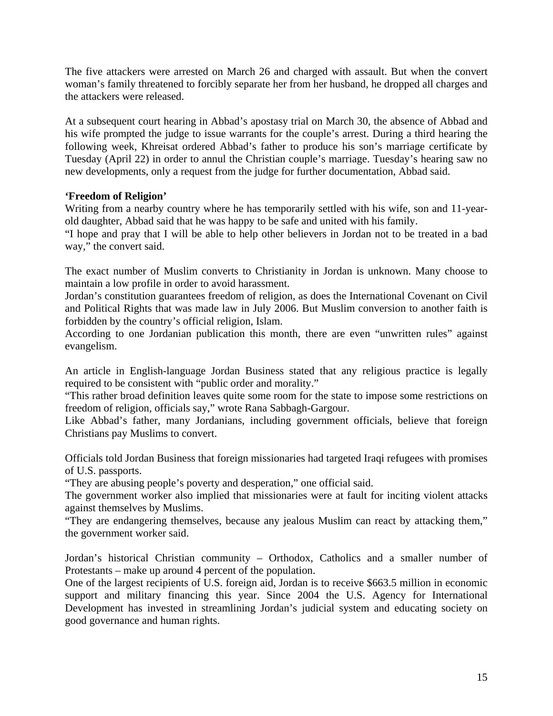The five attackers were arrested on March 26 and charged with assault. But when the convert woman's family threatened to forcibly separate her from her husband, he dropped all charges and the attackers were released.

At a subsequent court hearing in Abbad's apostasy trial on March 30, the absence of Abbad and his wife prompted the judge to issue warrants for the couple's arrest. During a third hearing the following week, Khreisat ordered Abbad's father to produce his son's marriage certificate by Tuesday (April 22) in order to annul the Christian couple's marriage. Tuesday's hearing saw no new developments, only a request from the judge for further documentation, Abbad said.

## **'Freedom of Religion'**

Writing from a nearby country where he has temporarily settled with his wife, son and 11-yearold daughter, Abbad said that he was happy to be safe and united with his family.

"I hope and pray that I will be able to help other believers in Jordan not to be treated in a bad way," the convert said.

The exact number of Muslim converts to Christianity in Jordan is unknown. Many choose to maintain a low profile in order to avoid harassment.

Jordan's constitution guarantees freedom of religion, as does the International Covenant on Civil and Political Rights that was made law in July 2006. But Muslim conversion to another faith is forbidden by the country's official religion, Islam.

According to one Jordanian publication this month, there are even "unwritten rules" against evangelism.

An article in English-language Jordan Business stated that any religious practice is legally required to be consistent with "public order and morality."

"This rather broad definition leaves quite some room for the state to impose some restrictions on freedom of religion, officials say," wrote Rana Sabbagh-Gargour.

Like Abbad's father, many Jordanians, including government officials, believe that foreign Christians pay Muslims to convert.

Officials told Jordan Business that foreign missionaries had targeted Iraqi refugees with promises of U.S. passports.

"They are abusing people's poverty and desperation," one official said.

The government worker also implied that missionaries were at fault for inciting violent attacks against themselves by Muslims.

"They are endangering themselves, because any jealous Muslim can react by attacking them," the government worker said.

Jordan's historical Christian community – Orthodox, Catholics and a smaller number of Protestants – make up around 4 percent of the population.

One of the largest recipients of U.S. foreign aid, Jordan is to receive \$663.5 million in economic support and military financing this year. Since 2004 the U.S. Agency for International Development has invested in streamlining Jordan's judicial system and educating society on good governance and human rights.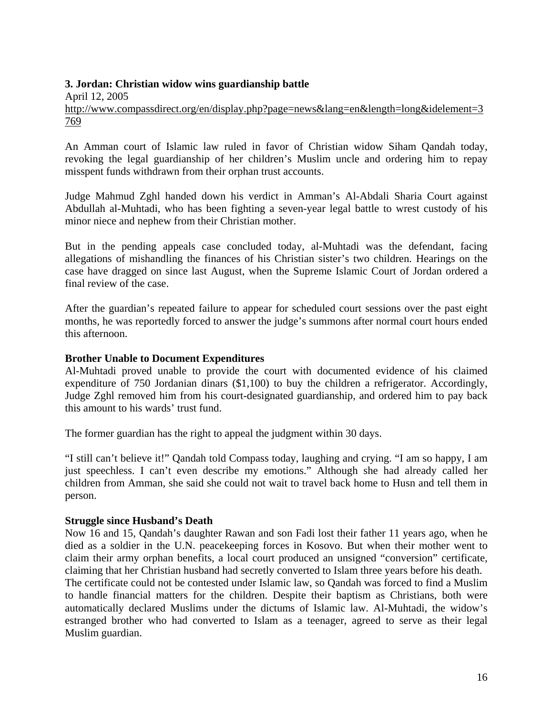## **3. Jordan: Christian widow wins guardianship battle**

April 12, 2005 [http://www.compassdirect.org/en/display.php?page=news&lang=en&length=long&idelement=3](http://www.compassdirect.org/en/display.php?page=news&lang=en&length=long&idelement=3769) [769](http://www.compassdirect.org/en/display.php?page=news&lang=en&length=long&idelement=3769)

An Amman court of Islamic law ruled in favor of Christian widow Siham Qandah today, revoking the legal guardianship of her children's Muslim uncle and ordering him to repay misspent funds withdrawn from their orphan trust accounts.

Judge Mahmud Zghl handed down his verdict in Amman's Al-Abdali Sharia Court against Abdullah al-Muhtadi, who has been fighting a seven-year legal battle to wrest custody of his minor niece and nephew from their Christian mother.

But in the pending appeals case concluded today, al-Muhtadi was the defendant, facing allegations of mishandling the finances of his Christian sister's two children. Hearings on the case have dragged on since last August, when the Supreme Islamic Court of Jordan ordered a final review of the case.

After the guardian's repeated failure to appear for scheduled court sessions over the past eight months, he was reportedly forced to answer the judge's summons after normal court hours ended this afternoon.

## **Brother Unable to Document Expenditures**

Al-Muhtadi proved unable to provide the court with documented evidence of his claimed expenditure of 750 Jordanian dinars (\$1,100) to buy the children a refrigerator. Accordingly, Judge Zghl removed him from his court-designated guardianship, and ordered him to pay back this amount to his wards' trust fund.

The former guardian has the right to appeal the judgment within 30 days.

"I still can't believe it!" Qandah told Compass today, laughing and crying. "I am so happy, I am just speechless. I can't even describe my emotions." Although she had already called her children from Amman, she said she could not wait to travel back home to Husn and tell them in person.

#### **Struggle since Husband's Death**

Now 16 and 15, Qandah's daughter Rawan and son Fadi lost their father 11 years ago, when he died as a soldier in the U.N. peacekeeping forces in Kosovo. But when their mother went to claim their army orphan benefits, a local court produced an unsigned "conversion" certificate, claiming that her Christian husband had secretly converted to Islam three years before his death.

The certificate could not be contested under Islamic law, so Qandah was forced to find a Muslim to handle financial matters for the children. Despite their baptism as Christians, both were automatically declared Muslims under the dictums of Islamic law. Al-Muhtadi, the widow's estranged brother who had converted to Islam as a teenager, agreed to serve as their legal Muslim guardian.